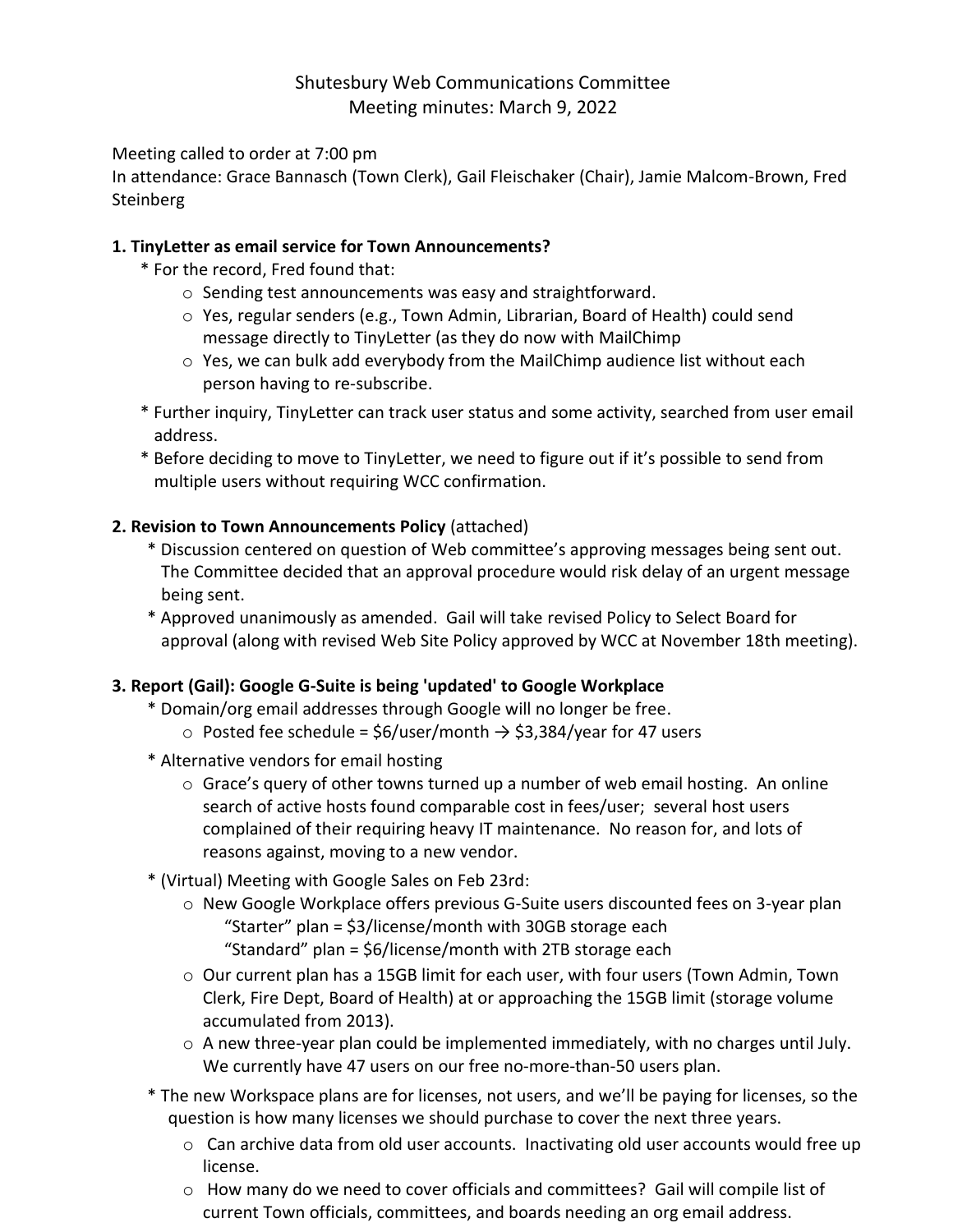# Shutesbury Web Communications Committee Meeting minutes: March 9, 2022

#### Meeting called to order at 7:00 pm

In attendance: Grace Bannasch (Town Clerk), Gail Fleischaker (Chair), Jamie Malcom-Brown, Fred Steinberg

#### **1. TinyLetter as email service for Town Announcements?**

- \* For the record, Fred found that:
	- o Sending test announcements was easy and straightforward.
	- o Yes, regular senders (e.g., Town Admin, Librarian, Board of Health) could send message directly to TinyLetter (as they do now with MailChimp
	- o Yes, we can bulk add everybody from the MailChimp audience list without each person having to re-subscribe.
- \* Further inquiry, TinyLetter can track user status and some activity, searched from user email address.
- \* Before deciding to move to TinyLetter, we need to figure out if it's possible to send from multiple users without requiring WCC confirmation.

## **2. Revision to Town Announcements Policy** (attached)

- \* Discussion centered on question of Web committee's approving messages being sent out. The Committee decided that an approval procedure would risk delay of an urgent message being sent.
- \* Approved unanimously as amended. Gail will take revised Policy to Select Board for approval (along with revised Web Site Policy approved by WCC at November 18th meeting).

## **3. Report (Gail): Google G-Suite is being 'updated' to Google Workplace**

- \* Domain/org email addresses through Google will no longer be free.
	- $\circ$  Posted fee schedule = \$6/user/month → \$3,384/year for 47 users
- \* Alternative vendors for email hosting
	- $\circ$  Grace's query of other towns turned up a number of web email hosting. An online search of active hosts found comparable cost in fees/user; several host users complained of their requiring heavy IT maintenance. No reason for, and lots of reasons against, moving to a new vendor.
- \* (Virtual) Meeting with Google Sales on Feb 23rd:
	- o New Google Workplace offers previous G-Suite users discounted fees on 3-year plan "Starter" plan = \$3/license/month with 30GB storage each "Standard" plan = \$6/license/month with 2TB storage each
	- o Our current plan has a 15GB limit for each user, with four users (Town Admin, Town Clerk, Fire Dept, Board of Health) at or approaching the 15GB limit (storage volume accumulated from 2013).
	- o A new three-year plan could be implemented immediately, with no charges until July. We currently have 47 users on our free no-more-than-50 users plan.
- \* The new Workspace plans are for licenses, not users, and we'll be paying for licenses, so the question is how many licenses we should purchase to cover the next three years.
	- $\circ$  Can archive data from old user accounts. Inactivating old user accounts would free up license.
	- $\circ$  How many do we need to cover officials and committees? Gail will compile list of current Town officials, committees, and boards needing an org email address.